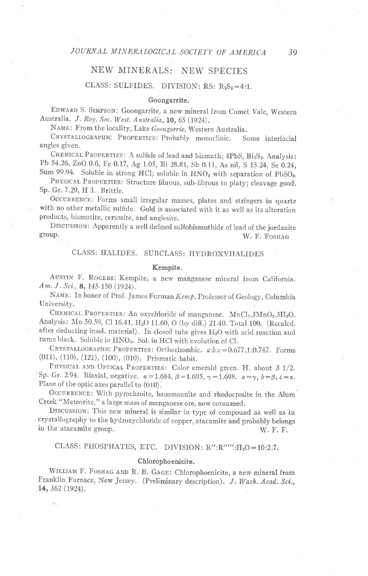# NEW MINERALS: NEW SPECIES

# CLASS: SULFIDES. DIVISION:  $RS: R_2S_3=4:1$ .

### Goongarrite.

EDWARD S. SIMPSON: Goongarrite, a new mineral from Comet Vale, Western Australia. J. Roy. Soc. West. Australia, 10, 65 (1924).

NAME: From the locality, Lake Goongarrie, Western Australia.

CRYSTALLOGRAPHIC PROPERTIES: Probably monoclinic. Some interfacial angles given.

CHEMICAL PROPERTIES: A sulfide of lead and bismuth; 4PbS, Bi<sub>2</sub>S<sub>3</sub>. Analysis: Pb 54.26, ZnO 0.6, Fe 0.17, Ag 1.05, Bi 28.81, Sb 0.11, As nil, S 15.24, Se 0.24, Sum 99.94. Soluble in strong HCl; soluble in HNO<sub>3</sub> with separation of PbSO<sub>4</sub>.

PHYSICAL PROPERTIES: Structure fibrous, sub-fibrous to platy; cleavage good. Sp. Gr. 7.29, H 3. Brittle.

OCCURRENCE: Forms small irregular masses, plates and stringers in quartz with no other metallic sulfide. Gold is associated with it as well as its alteration products, bismutite, cerussite, and anglesite.

DISCUSSION: Apparently a well defined sulfobismuthide of lead of the jordanite group.<br> $W = F_{\text{OSTAC}}$ W. F. FOSHAG

## CLASS: HALIDES. SUBCLASS: HYDROXYHALIDES

### Kempite.

AUSTIN F. ROGERS: Kempite, a new manganese mineral from California. Am. J. Sci., 8, 145-150 (1924).

NAME: In honor of Prof. James Furman Kemp, Professor of Geology, Columbia University.

CHEMICAL PROPERTIES: An oxychloride of manganese. MnCl<sub>2</sub>.3MnO<sub>2</sub>.3H<sub>2</sub>O. Analysis: Mn 50.59, Cl 16.41, H<sub>2</sub>O 11.60, O (by diff.) 21.40. Total 100. (Recalcd. after deducting insol. material). In closed tube gives  $H_2O$  with acid reaction and turns black. Soluble in HNO<sub>3</sub>. Sol. in HCl with evolution of Cl.

CRYSTALLOGRAPHIC PROPERTIES: Orthorhombic.  $a:b:c=0.677:1:0.747$ . Forms (011), (110), (121), (100), (010). prismatic habit.

PHYSICAL AND OPTICAL PROPERTIES: Color emerald green. H. about 3 1/2. Sp. Gr. 2.94. Biaxial, negative.  $a=1.684$ ,  $\beta=1.695$ ,  $\gamma=1.698$ .  $a=\gamma$ ,  $b=\beta$ ,  $c=a$ . Plane of the optic axes parallel to (010).

OCCURRENCE: With pyrochroite, hausmannite and rhodocrosite in the Alum Creek "Meteorite," a large mass of manganese ore, now consumed.

Drscussron: This new mineral is similar in type of compound as well as in crystallography to the hydroxychloride of copper, atacamite dnd probably belongs in the atacamite group. W. F. F.

## CLASS: PHOSPHATES, ETC. DIVISION:  $R'':R''''':H_2O=10:2.7$ .

#### Chlorophoenicite.

WILLIAM F. FOSHAG AND R. B. GAGE: Chlorophoenicite, a new mineral from Franklin Furnace, New Jersey. (Preliminary description). J. Wash. Acad. Sci., t4, 362 (1924).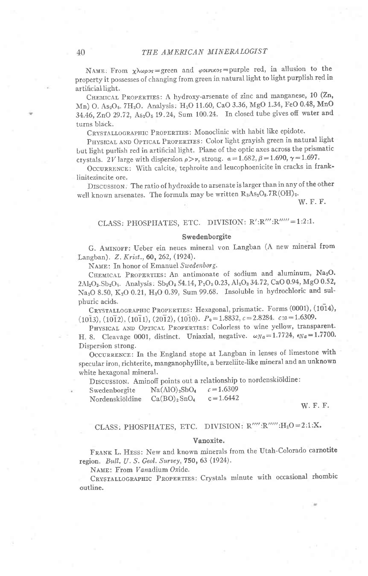NAME: From  $\chi \lambda \omega \rho s s =$ green and  $\varphi o \nu \mu \kappa s s =$ purple red, in allusion to the property it possesses of changing from green in natural light to light purplish red in artificial light.

CHEMICAL PROPERTIES: A hydroxy-arsenate of zinc and manganese, 10 (Zn, Mn) O. As<sub>2</sub>O<sub>5</sub>. 7H<sub>2</sub>O. Analysis: H<sub>2</sub>O 11.60, CaO 3.36, MgO 1.34, FeO 0.48, MnO 34.46, ZnO 29.72, As<sub>2</sub>O<sub>5</sub> 19.24, Sum 100.24. In closed tube gives off water and turns black.

CRYSTALLOGRAPHIC PROPERTIES: Monoclinic with habit like epidote.

PHYSICAL AND OPTICAL PROPERTIES: Color light grayish green in natural light but light purlish red in artificial light. Plane of the optic axes across the prismatic crystals. 2V large with dispersion  $\rho > \nu$ , strong.  $\alpha = 1.682$ ,  $\beta = 1.690$ ,  $\gamma = 1.697$ .

OCCURRENCE: With calcite, tephroite and leucophoenicite in cracks in franklinitezincite ore.

DISCUSSION. The ratio of hydroxide to arsenate is larger than in any of the other well known arsenates. The formula may be written R3As2O8.7R(OH)2.

W. F. F.

# CLASS: PHOSPHATES, ETC. DIVISION: R':R'":R'""=1:2:1.

### Swedenborgite

G. AMINOFF: Ueber ein neues mineral von Langban (A new mineral from Langban). Z. Krist., 60, 262, (1924).

NAME: In honor of Emanuel Swedenborg.

CHEMICAL PROPERTIES: An antimonate of sodium and aluminum, Na2O. 2Al<sub>2</sub>O<sub>3</sub>.Sb<sub>2</sub>O<sub>5</sub>. Analysis: Sb<sub>2</sub>O<sub>5</sub> 54.14, P<sub>2</sub>O<sub>5</sub> 0.23, Al<sub>2</sub>O<sub>3</sub> 34.72, CaO 0.94, MgO 0.52, Na<sub>2</sub>O 8.50, K<sub>2</sub>O 0.21, H<sub>2</sub>O 0.39, Sum 99.68. Insoluble in hydrochloric and sulphuric acids.

CRYSTALLOGRAPHIC PROPERTIES: Hexagonal, prismatic. Forms (0001), (1014),  $(10\overline{1}3), (10\overline{1}2), (10\overline{1}1), (20\overline{1}2), (10\overline{1}0).$   $P_0 = 1.8832, c = 2.8284.$   $c:a = 1.6309.$ 

PHYSICAL AND OPTICAL PROPERTIES: Colorless to wine yellow, transparent. H. 8. Cleavage 0001, distinct. Uniaxial, negative.  $\omega_{Na} = 1.7724$ ,  $\epsilon_{Na} = 1.7700$ . Dispersion strong.

OCCURRENCE: In the England stope at Langban in lenses of limestone with specular iron, richterite, manganophyllite, a berzeliite-like mineral and an unknown white hexagonal mineral.

DISCUSSION. Aminoff points out a relationship to nordenskiöldine:

| Swedenborgite   | Na(AlO) <sub>2</sub> SbO <sub>4</sub> | $c = 1.6309$ |
|-----------------|---------------------------------------|--------------|
| Nordenskiöldine | Ca(BO) <sub>2</sub> SnO <sub>4</sub>  | $c = 1.6442$ |

W. F. F.

# CLASS: PHOSPHATES, ETC. DIVISION:  $R''''':R'''':H_2O=2:1:X$ .

### Vanoxite.

FRANK L. HESS: New and known minerals from the Utah-Colorado carnotite region. Bull. U. S. Geol. Survey, 750, 63 (1924).

NAME: From Vanadium Oxide.

CRYSTALLOGRAPHIC PROPERTIES: Crystals minute with occasional rhombic outline.